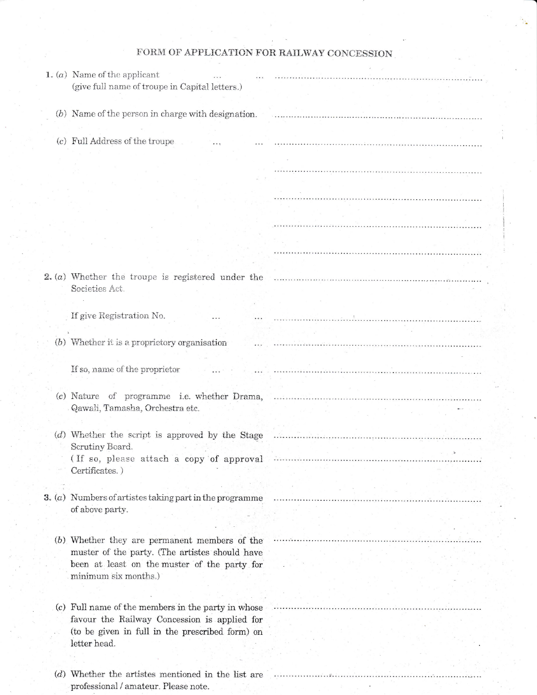| FORM OF APPLICATION FOR RAILWAY CONCESSION |  |  |  |
|--------------------------------------------|--|--|--|
|--------------------------------------------|--|--|--|

| 1. $(a)$ Name of the applicant<br>(give full name of troupe in Capital letters.)                                                                                                                                               | .                                                                                                                                                                                                                              |
|--------------------------------------------------------------------------------------------------------------------------------------------------------------------------------------------------------------------------------|--------------------------------------------------------------------------------------------------------------------------------------------------------------------------------------------------------------------------------|
|                                                                                                                                                                                                                                |                                                                                                                                                                                                                                |
| $(b)$ Name of the person in charge with designation.                                                                                                                                                                           |                                                                                                                                                                                                                                |
|                                                                                                                                                                                                                                |                                                                                                                                                                                                                                |
|                                                                                                                                                                                                                                |                                                                                                                                                                                                                                |
| (c) Full Address of the troupe                                                                                                                                                                                                 |                                                                                                                                                                                                                                |
|                                                                                                                                                                                                                                |                                                                                                                                                                                                                                |
|                                                                                                                                                                                                                                |                                                                                                                                                                                                                                |
|                                                                                                                                                                                                                                |                                                                                                                                                                                                                                |
|                                                                                                                                                                                                                                |                                                                                                                                                                                                                                |
|                                                                                                                                                                                                                                |                                                                                                                                                                                                                                |
|                                                                                                                                                                                                                                |                                                                                                                                                                                                                                |
|                                                                                                                                                                                                                                |                                                                                                                                                                                                                                |
|                                                                                                                                                                                                                                |                                                                                                                                                                                                                                |
|                                                                                                                                                                                                                                |                                                                                                                                                                                                                                |
|                                                                                                                                                                                                                                |                                                                                                                                                                                                                                |
|                                                                                                                                                                                                                                | 2. (a) Whether the troupe is registered under the manufactured contains and contain the contained and the contained and whether the contained and whether the transmission of the containing and when the contained and when t |
| Societies Act.                                                                                                                                                                                                                 |                                                                                                                                                                                                                                |
|                                                                                                                                                                                                                                |                                                                                                                                                                                                                                |
|                                                                                                                                                                                                                                |                                                                                                                                                                                                                                |
| If give Registration No.                                                                                                                                                                                                       |                                                                                                                                                                                                                                |
|                                                                                                                                                                                                                                |                                                                                                                                                                                                                                |
| (b) Whether it is a proprietory organisation                                                                                                                                                                                   |                                                                                                                                                                                                                                |
|                                                                                                                                                                                                                                |                                                                                                                                                                                                                                |
| If so, name of the proprietor                                                                                                                                                                                                  |                                                                                                                                                                                                                                |
|                                                                                                                                                                                                                                |                                                                                                                                                                                                                                |
|                                                                                                                                                                                                                                |                                                                                                                                                                                                                                |
|                                                                                                                                                                                                                                |                                                                                                                                                                                                                                |
| Qawali, Tamasha, Orchestra etc.                                                                                                                                                                                                |                                                                                                                                                                                                                                |
|                                                                                                                                                                                                                                |                                                                                                                                                                                                                                |
|                                                                                                                                                                                                                                |                                                                                                                                                                                                                                |
| Scrutiny Board.                                                                                                                                                                                                                |                                                                                                                                                                                                                                |
| (If so, please attach a copy of approval information of the set of the contract of the set of the contract of the set of the set of the set of the set of the set of the set of the set of the set of the set of the set of th |                                                                                                                                                                                                                                |
| Certificates.)                                                                                                                                                                                                                 |                                                                                                                                                                                                                                |
|                                                                                                                                                                                                                                |                                                                                                                                                                                                                                |
| $3. (a)$ Numbers of artistes taking part in the programme                                                                                                                                                                      |                                                                                                                                                                                                                                |
| of above party.                                                                                                                                                                                                                |                                                                                                                                                                                                                                |
|                                                                                                                                                                                                                                |                                                                                                                                                                                                                                |
|                                                                                                                                                                                                                                |                                                                                                                                                                                                                                |
| (b) Whether they are permanent members of the                                                                                                                                                                                  |                                                                                                                                                                                                                                |
| muster of the party. (The artistes should have                                                                                                                                                                                 |                                                                                                                                                                                                                                |
| been at least on the muster of the party for                                                                                                                                                                                   |                                                                                                                                                                                                                                |
| minimum six months.)                                                                                                                                                                                                           |                                                                                                                                                                                                                                |
|                                                                                                                                                                                                                                |                                                                                                                                                                                                                                |
|                                                                                                                                                                                                                                |                                                                                                                                                                                                                                |
| (c) Full name of the members in the party in whose                                                                                                                                                                             |                                                                                                                                                                                                                                |
| favour the Railway Concession is applied for                                                                                                                                                                                   |                                                                                                                                                                                                                                |
| (to be given in full in the prescribed form) on                                                                                                                                                                                |                                                                                                                                                                                                                                |
| letter head.                                                                                                                                                                                                                   |                                                                                                                                                                                                                                |
|                                                                                                                                                                                                                                |                                                                                                                                                                                                                                |
|                                                                                                                                                                                                                                |                                                                                                                                                                                                                                |
| (d) Whether the artistes mentioned in the list are<br>professional / amateur. Please note.                                                                                                                                     |                                                                                                                                                                                                                                |